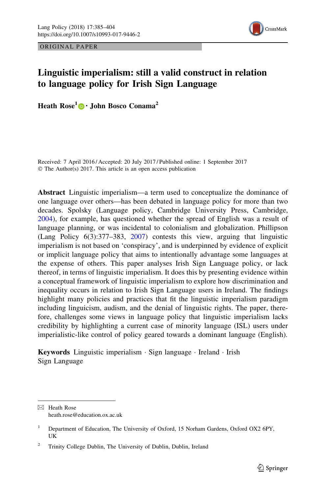ORIGINAL PAPER



# Linguistic imperialism: still a valid construct in relation to language policy for Irish Sign Language

Heath Rose<sup>1</sup> [•](http://orcid.org/0000-0002-6434-6663) John Bosco Conama<sup>2</sup>

Received: 7 April 2016 / Accepted: 20 July 2017 / Published online: 1 September 2017 © The Author(s) 2017. This article is an open access publication

Abstract Linguistic imperialism—a term used to conceptualize the dominance of one language over others—has been debated in language policy for more than two decades. Spolsky (Language policy, Cambridge University Press, Cambridge, [2004\)](#page-19-0), for example, has questioned whether the spread of English was a result of language planning, or was incidental to colonialism and globalization. Phillipson (Lang Policy 6(3):377–383, [2007](#page-18-0)) contests this view, arguing that linguistic imperialism is not based on 'conspiracy', and is underpinned by evidence of explicit or implicit language policy that aims to intentionally advantage some languages at the expense of others. This paper analyses Irish Sign Language policy, or lack thereof, in terms of linguistic imperialism. It does this by presenting evidence within a conceptual framework of linguistic imperialism to explore how discrimination and inequality occurs in relation to Irish Sign Language users in Ireland. The findings highlight many policies and practices that fit the linguistic imperialism paradigm including linguicism, audism, and the denial of linguistic rights. The paper, therefore, challenges some views in language policy that linguistic imperialism lacks credibility by highlighting a current case of minority language (ISL) users under imperialistic-like control of policy geared towards a dominant language (English).

Keywords Linguistic imperialism · Sign language · Ireland · Irish Sign Language

 $\boxtimes$  Heath Rose heath.rose@education.ox.ac.uk

<sup>&</sup>lt;sup>1</sup> Department of Education, The University of Oxford, 15 Norham Gardens, Oxford OX2 6PY, UK

<sup>&</sup>lt;sup>2</sup> Trinity College Dublin, The University of Dublin, Dublin, Ireland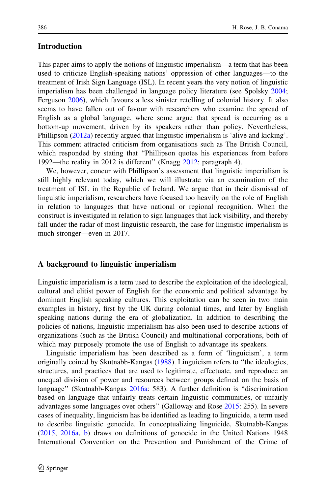## Introduction

This paper aims to apply the notions of linguistic imperialism—a term that has been used to criticize English-speaking nations' oppression of other languages—to the treatment of Irish Sign Language (ISL). In recent years the very notion of linguistic imperialism has been challenged in language policy literature (see Spolsky [2004;](#page-19-0) Ferguson [2006\)](#page-17-0), which favours a less sinister retelling of colonial history. It also seems to have fallen out of favour with researchers who examine the spread of English as a global language, where some argue that spread is occurring as a bottom-up movement, driven by its speakers rather than policy. Nevertheless, Phillipson ([2012a\)](#page-18-0) recently argued that linguistic imperialism is 'alive and kicking'. This comment attracted criticism from organisations such as The British Council, which responded by stating that ''Phillipson quotes his experiences from before 1992—the reality in 2012 is different'' (Knagg [2012:](#page-17-0) paragraph 4).

We, however, concur with Phillipson's assessment that linguistic imperialism is still highly relevant today, which we will illustrate via an examination of the treatment of ISL in the Republic of Ireland. We argue that in their dismissal of linguistic imperialism, researchers have focused too heavily on the role of English in relation to languages that have national or regional recognition. When the construct is investigated in relation to sign languages that lack visibility, and thereby fall under the radar of most linguistic research, the case for linguistic imperialism is much stronger—even in 2017.

## A background to linguistic imperialism

Linguistic imperialism is a term used to describe the exploitation of the ideological, cultural and elitist power of English for the economic and political advantage by dominant English speaking cultures. This exploitation can be seen in two main examples in history, first by the UK during colonial times, and later by English speaking nations during the era of globalization. In addition to describing the policies of nations, linguistic imperialism has also been used to describe actions of organizations (such as the British Council) and multinational corporations, both of which may purposely promote the use of English to advantage its speakers.

Linguistic imperialism has been described as a form of 'linguicism', a term originally coined by Skutnabb-Kangas ([1988\)](#page-18-0). Linguicism refers to ''the ideologies, structures, and practices that are used to legitimate, effectuate, and reproduce an unequal division of power and resources between groups defined on the basis of language'' (Skutnabb-Kangas [2016a](#page-19-0): 583). A further definition is ''discrimination based on language that unfairly treats certain linguistic communities, or unfairly advantages some languages over others'' (Galloway and Rose [2015:](#page-17-0) 255). In severe cases of inequality, linguicism has be identified as leading to linguicide, a term used to describe linguistic genocide. In conceptualizing linguicide, Skutnabb-Kangas [\(2015](#page-19-0), [2016a](#page-19-0), [b](#page-19-0)) draws on definitions of genocide in the United Nations 1948 International Convention on the Prevention and Punishment of the Crime of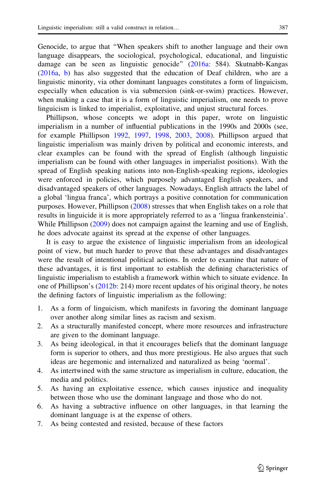Genocide, to argue that ''When speakers shift to another language and their own language disappears, the sociological, psychological, educational, and linguistic damage can be seen as linguistic genocide'' [\(2016a](#page-19-0): 584). Skutnabb-Kangas [\(2016a,](#page-19-0) [b](#page-19-0)) has also suggested that the education of Deaf children, who are a linguistic minority, via other dominant languages constitutes a form of linguicism, especially when education is via submersion (sink-or-swim) practices. However, when making a case that it is a form of linguistic imperialism, one needs to prove linguicism is linked to imperialist, exploitative, and unjust structural forces.

Phillipson, whose concepts we adopt in this paper, wrote on linguistic imperialism in a number of influential publications in the 1990s and 2000s (see, for example Phillipson [1992,](#page-18-0) [1997,](#page-18-0) [1998](#page-18-0), [2003](#page-18-0), [2008\)](#page-18-0). Phillipson argued that linguistic imperialism was mainly driven by political and economic interests, and clear examples can be found with the spread of English (although linguistic imperialism can be found with other languages in imperialist positions). With the spread of English speaking nations into non-English-speaking regions, ideologies were enforced in policies, which purposely advantaged English speakers, and disadvantaged speakers of other languages. Nowadays, English attracts the label of a global 'lingua franca', which portrays a positive connotation for communication purposes. However, Phillipson [\(2008](#page-18-0)) stresses that when English takes on a role that results in linguicide it is more appropriately referred to as a 'lingua frankensteinia'. While Phillipson ([2009\)](#page-18-0) does not campaign against the learning and use of English, he does advocate against its spread at the expense of other languages.

It is easy to argue the existence of linguistic imperialism from an ideological point of view, but much harder to prove that these advantages and disadvantages were the result of intentional political actions. In order to examine that nature of these advantages, it is first important to establish the defining characteristics of linguistic imperialism to establish a framework within which to situate evidence. In one of Phillipson's [\(2012b](#page-18-0): 214) more recent updates of his original theory, he notes the defining factors of linguistic imperialism as the following:

- 1. As a form of linguicism, which manifests in favoring the dominant language over another along similar lines as racism and sexism.
- 2. As a structurally manifested concept, where more resources and infrastructure are given to the dominant language.
- 3. As being ideological, in that it encourages beliefs that the dominant language form is superior to others, and thus more prestigious. He also argues that such ideas are hegemonic and internalized and naturalized as being 'normal'.
- 4. As intertwined with the same structure as imperialism in culture, education, the media and politics.
- 5. As having an exploitative essence, which causes injustice and inequality between those who use the dominant language and those who do not.
- 6. As having a subtractive influence on other languages, in that learning the dominant language is at the expense of others.
- 7. As being contested and resisted, because of these factors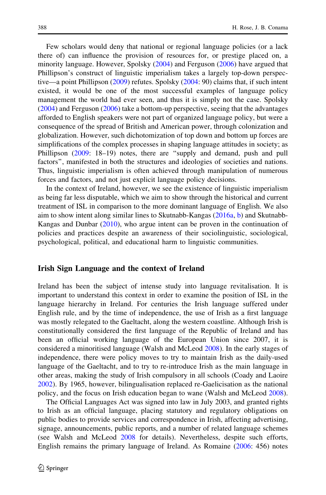Few scholars would deny that national or regional language policies (or a lack there of) can influence the provision of resources for, or prestige placed on, a minority language. However, Spolsky ([2004](#page-19-0)) and Ferguson ([2006\)](#page-17-0) have argued that Phillipson's construct of linguistic imperialism takes a largely top-down perspective—a point Phillipson ([2009\)](#page-18-0) refutes. Spolsky [\(2004](#page-19-0): 90) claims that, if such intent existed, it would be one of the most successful examples of language policy management the world had ever seen, and thus it is simply not the case. Spolsky [\(2004](#page-19-0)) and Ferguson [\(2006](#page-17-0)) take a bottom-up perspective, seeing that the advantages afforded to English speakers were not part of organized language policy, but were a consequence of the spread of British and American power, through colonization and globalization. However, such dichotomization of top down and bottom up forces are simplifications of the complex processes in shaping language attitudes in society; as Phillipson [\(2009](#page-18-0): 18–19) notes, there are "supply and demand, push and pull factors'', manifested in both the structures and ideologies of societies and nations. Thus, linguistic imperialism is often achieved through manipulation of numerous forces and factors, and not just explicit language policy decisions.

In the context of Ireland, however, we see the existence of linguistic imperialism as being far less disputable, which we aim to show through the historical and current treatment of ISL in comparison to the more dominant language of English. We also aim to show intent along similar lines to Skutnabb-Kangas [\(2016a,](#page-19-0) [b\)](#page-19-0) and Skutnabb-Kangas and Dunbar [\(2010](#page-19-0)), who argue intent can be proven in the continuation of policies and practices despite an awareness of their sociolinguistic, sociological, psychological, political, and educational harm to linguistic communities.

## Irish Sign Language and the context of Ireland

Ireland has been the subject of intense study into language revitalisation. It is important to understand this context in order to examine the position of ISL in the language hierarchy in Ireland. For centuries the Irish language suffered under English rule, and by the time of independence, the use of Irish as a first language was mostly relegated to the Gaeltacht, along the western coastline. Although Irish is constitutionally considered the first language of the Republic of Ireland and has been an official working language of the European Union since 2007, it is considered a minoritised language (Walsh and McLeod [2008](#page-19-0)). In the early stages of independence, there were policy moves to try to maintain Irish as the daily-used language of the Gaeltacht, and to try to re-introduce Irish as the main language in other areas, making the study of Irish compulsory in all schools (Coady and Laoire [2002\)](#page-17-0). By 1965, however, bilingualisation replaced re-Gaelicisation as the national policy, and the focus on Irish education began to wane (Walsh and McLeod [2008\)](#page-19-0).

The Official Languages Act was signed into law in July 2003, and granted rights to Irish as an official language, placing statutory and regulatory obligations on public bodies to provide services and correspondence in Irish, affecting advertising, signage, announcements, public reports, and a number of related language schemes (see Walsh and McLeod [2008](#page-19-0) for details). Nevertheless, despite such efforts, English remains the primary language of Ireland. As Romaine [\(2006](#page-18-0): 456) notes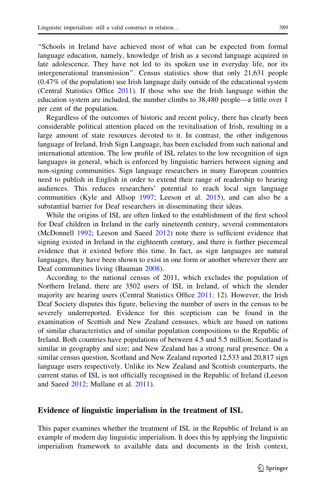''Schools in Ireland have achieved most of what can be expected from formal language education, namely, knowledge of Irish as a second language acquired in late adolescence. They have not led to its spoken use in everyday life, nor its intergenerational transmission''. Census statistics show that only 21,631 people (0.47% of the population) use Irish language daily outside of the educational system (Central Statistics Office [2011\)](#page-17-0). If those who use the Irish language within the education system are included, the number climbs to 38,480 people—a little over 1 per cent of the population.

Regardless of the outcomes of historic and recent policy, there has clearly been considerable political attention placed on the revitalisation of Irish, resulting in a large amount of state resources devoted to it. In contrast, the other indigenous language of Ireland, Irish Sign Language, has been excluded from such national and international attention. The low profile of ISL relates to the low recognition of sign languages in general, which is enforced by linguistic barriers between signing and non-signing communities. Sign language researchers in many European countries need to publish in English in order to extend their range of readership to hearing audiences. This reduces researchers' potential to reach local sign language communities (Kyle and Allsop [1997;](#page-17-0) Leeson et al. [2015\)](#page-18-0), and can also be a substantial barrier for Deaf researchers in disseminating their ideas.

While the origins of ISL are often linked to the establishment of the first school for Deaf children in Ireland in the early nineteenth century, several commentators (McDonnell [1992;](#page-18-0) Leeson and Saeed [2012\)](#page-18-0) note there is sufficient evidence that signing existed in Ireland in the eighteenth century, and there is further piecemeal evidence that it existed before this time. In fact, as sign languages are natural languages, they have been shown to exist in one form or another wherever there are Deaf communities living (Bauman [2008\)](#page-17-0).

According to the national census of 2011, which excludes the population of Northern Ireland, there are 3502 users of ISL in Ireland, of which the slender majority are hearing users (Central Statistics Office [2011](#page-17-0): 12). However, the Irish Deaf Society disputes this figure, believing the number of users in the census to be severely underreported. Evidence for this scepticism can be found in the examination of Scottish and New Zealand censuses, which are based on nations of similar characteristics and of similar population compositions to the Republic of Ireland. Both countries have populations of between 4.5 and 5.5 million; Scotland is similar in geography and size; and New Zealand has a strong rural presence. On a similar census question, Scotland and New Zealand reported 12,533 and 20,817 sign language users respectively. Unlike its New Zealand and Scottish counterparts, the current status of ISL is not officially recognised in the Republic of Ireland (Leeson and Saeed [2012;](#page-18-0) Mullane et al. [2011\)](#page-18-0).

#### Evidence of linguistic imperialism in the treatment of ISL

This paper examines whether the treatment of ISL in the Republic of Ireland is an example of modern day linguistic imperialism. It does this by applying the linguistic imperialism framework to available data and documents in the Irish context,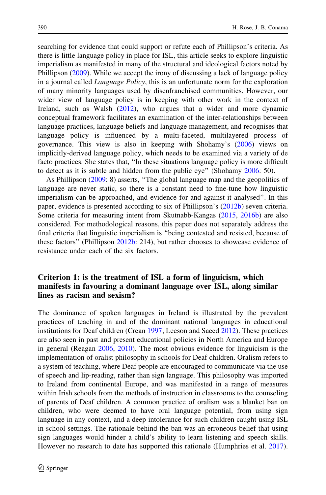searching for evidence that could support or refute each of Phillipson's criteria. As there is little language policy in place for ISL, this article seeks to explore linguistic imperialism as manifested in many of the structural and ideological factors noted by Phillipson [\(2009](#page-18-0)). While we accept the irony of discussing a lack of language policy in a journal called Language Policy, this is an unfortunate norm for the exploration of many minority languages used by disenfranchised communities. However, our wider view of language policy is in keeping with other work in the context of Ireland, such as Walsh ([2012\)](#page-19-0), who argues that a wider and more dynamic conceptual framework facilitates an examination of the inter-relationships between language practices, language beliefs and language management, and recognises that language policy is influenced by a multi-faceted, multilayered process of governance. This view is also in keeping with Shohamy's ([2006\)](#page-18-0) views on implicitly-derived language policy, which needs to be examined via a variety of de facto practices. She states that, ''In these situations language policy is more difficult to detect as it is subtle and hidden from the public eye'' (Shohamy [2006](#page-18-0): 50).

As Phillipson ([2009:](#page-18-0) 8) asserts, ''The global language map and the geopolitics of language are never static, so there is a constant need to fine-tune how linguistic imperialism can be approached, and evidence for and against it analysed''. In this paper, evidence is presented according to six of Phillipson's ([2012b\)](#page-18-0) seven criteria. Some criteria for measuring intent from Skutnabb-Kangas [\(2015](#page-19-0), [2016b](#page-19-0)) are also considered. For methodological reasons, this paper does not separately address the final criteria that linguistic imperialism is ''being contested and resisted, because of these factors'' (Phillipson [2012b](#page-18-0): 214), but rather chooses to showcase evidence of resistance under each of the six factors.

## Criterion 1: is the treatment of ISL a form of linguicism, which manifests in favouring a dominant language over ISL, along similar lines as racism and sexism?

The dominance of spoken languages in Ireland is illustrated by the prevalent practices of teaching in and of the dominant national languages in educational institutions for Deaf children (Crean [1997;](#page-17-0) Leeson and Saeed [2012](#page-18-0)). These practices are also seen in past and present educational policies in North America and Europe in general (Reagan [2006,](#page-18-0) [2010\)](#page-18-0). The most obvious evidence for linguicism is the implementation of oralist philosophy in schools for Deaf children. Oralism refers to a system of teaching, where Deaf people are encouraged to communicate via the use of speech and lip-reading, rather than sign language. This philosophy was imported to Ireland from continental Europe, and was manifested in a range of measures within Irish schools from the methods of instruction in classrooms to the counseling of parents of Deaf children. A common practice of oralism was a blanket ban on children, who were deemed to have oral language potential, from using sign language in any context, and a deep intolerance for such children caught using ISL in school settings. The rationale behind the ban was an erroneous belief that using sign languages would hinder a child's ability to learn listening and speech skills. However no research to date has supported this rationale (Humphries et al. [2017\)](#page-17-0).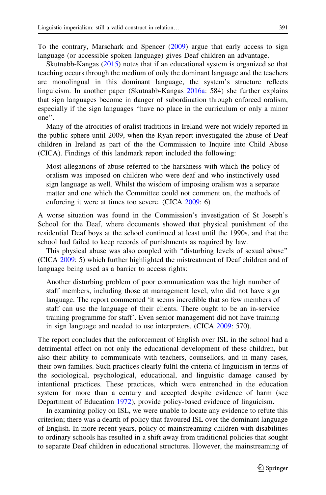To the contrary, Marschark and Spencer [\(2009](#page-18-0)) argue that early access to sign language (or accessible spoken language) gives Deaf children an advantage.

Skutnabb-Kangas ([2015\)](#page-19-0) notes that if an educational system is organized so that teaching occurs through the medium of only the dominant language and the teachers are monolingual in this dominant language, the system's structure reflects linguicism. In another paper (Skutnabb-Kangas [2016a](#page-19-0): 584) she further explains that sign languages become in danger of subordination through enforced oralism, especially if the sign languages ''have no place in the curriculum or only a minor one''.

Many of the atrocities of oralist traditions in Ireland were not widely reported in the public sphere until 2009, when the Ryan report investigated the abuse of Deaf children in Ireland as part of the the Commission to Inquire into Child Abuse (CICA). Findings of this landmark report included the following:

Most allegations of abuse referred to the harshness with which the policy of oralism was imposed on children who were deaf and who instinctively used sign language as well. Whilst the wisdom of imposing oralism was a separate matter and one which the Committee could not comment on, the methods of enforcing it were at times too severe. (CICA [2009](#page-17-0): 6)

A worse situation was found in the Commission's investigation of St Joseph's School for the Deaf, where documents showed that physical punishment of the residential Deaf boys at the school continued at least until the 1990s, and that the school had failed to keep records of punishments as required by law.

This physical abuse was also coupled with ''disturbing levels of sexual abuse'' (CICA [2009:](#page-17-0) 5) which further highlighted the mistreatment of Deaf children and of language being used as a barrier to access rights:

Another disturbing problem of poor communication was the high number of staff members, including those at management level, who did not have sign language. The report commented 'it seems incredible that so few members of staff can use the language of their clients. There ought to be an in-service training programme for staff'. Even senior management did not have training in sign language and needed to use interpreters. (CICA [2009](#page-17-0): 570).

The report concludes that the enforcement of English over ISL in the school had a detrimental effect on not only the educational development of these children, but also their ability to communicate with teachers, counsellors, and in many cases, their own families. Such practices clearly fulfil the criteria of linguicism in terms of the sociological, psychological, educational, and linguistic damage caused by intentional practices. These practices, which were entrenched in the education system for more than a century and accepted despite evidence of harm (see Department of Education [1972](#page-17-0)), provide policy-based evidence of linguicism.

In examining policy on ISL, we were unable to locate any evidence to refute this criterion; there was a dearth of policy that favoured ISL over the dominant language of English. In more recent years, policy of mainstreaming children with disabilities to ordinary schools has resulted in a shift away from traditional policies that sought to separate Deaf children in educational structures. However, the mainstreaming of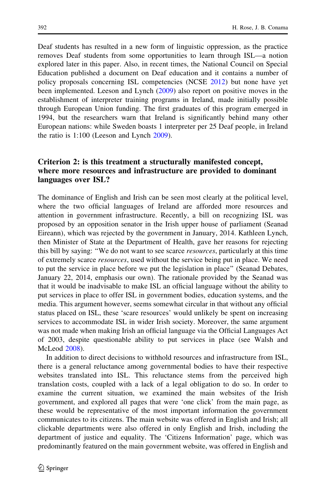Deaf students has resulted in a new form of linguistic oppression, as the practice removes Deaf students from some opportunities to learn through ISL—a notion explored later in this paper. Also, in recent times, the National Council on Special Education published a document on Deaf education and it contains a number of policy proposals concerning ISL competencies (NCSE [2012\)](#page-18-0) but none have yet been implemented. Leeson and Lynch ([2009\)](#page-18-0) also report on positive moves in the establishment of interpreter training programs in Ireland, made initially possible through European Union funding. The first graduates of this program emerged in 1994, but the researchers warn that Ireland is significantly behind many other European nations: while Sweden boasts 1 interpreter per 25 Deaf people, in Ireland the ratio is 1:100 (Leeson and Lynch [2009\)](#page-18-0).

# Criterion 2: is this treatment a structurally manifested concept, where more resources and infrastructure are provided to dominant languages over ISL?

The dominance of English and Irish can be seen most clearly at the political level, where the two official languages of Ireland are afforded more resources and attention in government infrastructure. Recently, a bill on recognizing ISL was proposed by an opposition senator in the Irish upper house of parliament (Seanad Eireann), which was rejected by the government in January, 2014. Kathleen Lynch, then Minister of State at the Department of Health, gave her reasons for rejecting this bill by saying: "We do not want to see scarce *resources*, particularly at this time of extremely scarce resources, used without the service being put in place. We need to put the service in place before we put the legislation in place'' (Seanad Debates, January 22, 2014, emphasis our own). The rationale provided by the Seanad was that it would be inadvisable to make ISL an official language without the ability to put services in place to offer ISL in government bodies, education systems, and the media. This argument however, seems somewhat circular in that without any official status placed on ISL, these 'scare resources' would unlikely be spent on increasing services to accommodate ISL in wider Irish society. Moreover, the same argument was not made when making Irish an official language via the Official Languages Act of 2003, despite questionable ability to put services in place (see Walsh and McLeod [2008](#page-19-0)).

In addition to direct decisions to withhold resources and infrastructure from ISL, there is a general reluctance among governmental bodies to have their respective websites translated into ISL. This reluctance stems from the perceived high translation costs, coupled with a lack of a legal obligation to do so. In order to examine the current situation, we examined the main websites of the Irish government, and explored all pages that were 'one click' from the main page, as these would be representative of the most important information the government communicates to its citizens. The main website was offered in English and Irish; all clickable departments were also offered in only English and Irish, including the department of justice and equality. The 'Citizens Information' page, which was predominantly featured on the main government website, was offered in English and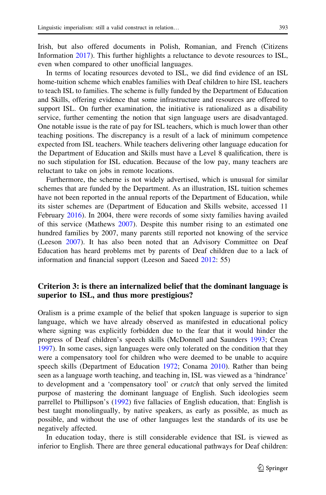Irish, but also offered documents in Polish, Romanian, and French (Citizens Information [2017](#page-17-0)). This further highlights a reluctance to devote resources to ISL, even when compared to other unofficial languages.

In terms of locating resources devoted to ISL, we did find evidence of an ISL home-tuition scheme which enables families with Deaf children to hire ISL teachers to teach ISL to families. The scheme is fully funded by the Department of Education and Skills, offering evidence that some infrastructure and resources are offered to support ISL. On further examination, the initiative is rationalized as a disability service, further cementing the notion that sign language users are disadvantaged. One notable issue is the rate of pay for ISL teachers, which is much lower than other teaching positions. The discrepancy is a result of a lack of minimum competence expected from ISL teachers. While teachers delivering other language education for the Department of Education and Skills must have a Level 8 qualification, there is no such stipulation for ISL education. Because of the low pay, many teachers are reluctant to take on jobs in remote locations.

Furthermore, the scheme is not widely advertised, which is unusual for similar schemes that are funded by the Department. As an illustration, ISL tuition schemes have not been reported in the annual reports of the Department of Education, while its sister schemes are (Department of Education and Skills website, accessed 11 February [2016](#page-17-0)). In 2004, there were records of some sixty families having availed of this service (Mathews [2007](#page-18-0)). Despite this number rising to an estimated one hundred families by 2007, many parents still reported not knowing of the service (Leeson [2007\)](#page-17-0). It has also been noted that an Advisory Committee on Deaf Education has heard problems met by parents of Deaf children due to a lack of information and financial support (Leeson and Saeed [2012](#page-18-0): 55)

## Criterion 3: is there an internalized belief that the dominant language is superior to ISL, and thus more prestigious?

Oralism is a prime example of the belief that spoken language is superior to sign language, which we have already observed as manifested in educational policy where signing was explicitly forbidden due to the fear that it would hinder the progress of Deaf children's speech skills (McDonnell and Saunders [1993;](#page-18-0) Crean [1997\)](#page-17-0). In some cases, sign languages were only tolerated on the condition that they were a compensatory tool for children who were deemed to be unable to acquire speech skills (Department of Education [1972;](#page-17-0) Conama [2010\)](#page-17-0). Rather than being seen as a language worth teaching, and teaching in, ISL was viewed as a 'hindrance' to development and a 'compensatory tool' or crutch that only served the limited purpose of mastering the dominant language of English. Such ideologies seem parrellel to Phillipson's ([1992\)](#page-18-0) five fallacies of English education, that: English is best taught monolingually, by native speakers, as early as possible, as much as possible, and without the use of other languages lest the standards of its use be negatively affected.

In education today, there is still considerable evidence that ISL is viewed as inferior to English. There are three general educational pathways for Deaf children: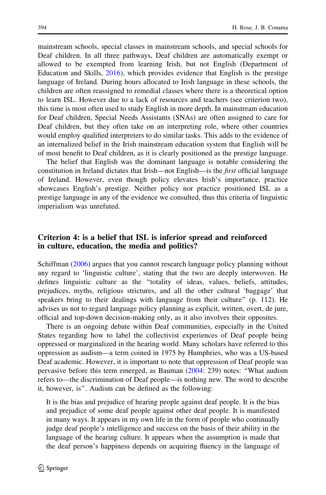mainstream schools, special classes in mainstream schools, and special schools for Deaf children. In all three pathways, Deaf children are automatically exempt or allowed to be exempted from learning Irish, but not English (Department of Education and Skills, [2016](#page-17-0)), which provides evidence that English is the prestige language of Ireland. During hours allocated to Irish language in these schools, the children are often reassigned to remedial classes where there is a theoretical option to learn ISL. However due to a lack of resources and teachers (see criterion two), this time is most often used to study English in more depth. In mainstream education for Deaf children, Special Needs Assistants (SNAs) are often assigned to care for Deaf children, but they often take on an interpreting role, where other countries would employ qualified interpreters to do similar tasks. This adds to the evidence of an internalized belief in the Irish mainstream education system that English will be of most benefit to Deaf children, as it is clearly positioned as the prestige language.

The belief that English was the dominant language is notable considering the constitution in Ireland dictates that Irish—not English—is the first official language of Ireland. However, even though policy elevates Irish's importance, practice showcases English's prestige. Neither policy nor practice positioned ISL as a prestige language in any of the evidence we consulted, thus this criteria of linguistic imperialism was unrefuted.

## Criterion 4: is a belief that ISL is inferior spread and reinforced in culture, education, the media and politics?

Schiffman ([2006\)](#page-18-0) argues that you cannot research language policy planning without any regard to 'linguistic culture', stating that the two are deeply interwoven. He defines linguistic culture as the ''totality of ideas, values, beliefs, attitudes, prejudices, myths, religious strictures, and all the other cultural 'baggage' that speakers bring to their dealings with language from their culture'' (p. 112). He advises us not to regard language policy planning as explicit, written, overt, de jure, official and top-down decision-making only, as it also involves their opposites.

There is an ongoing debate within Deaf communities, especially in the United States regarding how to label the collectivist experiences of Deaf people being oppressed or marginalized in the hearing world. Many scholars have referred to this oppression as audism—a term coined in 1975 by Humphries, who was a US-based Deaf academic. However, it is important to note that oppression of Deaf people was pervasive before this term emerged, as Bauman ([2004:](#page-16-0) 239) notes: ''What audism refers to—the discrimination of Deaf people—is nothing new. The word to describe it, however, is''. Audism can be defined as the following:

It is the bias and prejudice of hearing people against deaf people. It is the bias and prejudice of some deaf people against other deaf people. It is manifested in many ways. It appears in my own life in the form of people who continually judge deaf people's intelligence and success on the basis of their ability in the language of the hearing culture. It appears when the assumption is made that the deaf person's happiness depends on acquiring fluency in the language of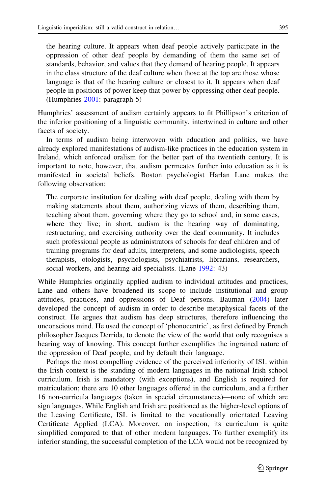the hearing culture. It appears when deaf people actively participate in the oppression of other deaf people by demanding of them the same set of standards, behavior, and values that they demand of hearing people. It appears in the class structure of the deaf culture when those at the top are those whose language is that of the hearing culture or closest to it. It appears when deaf people in positions of power keep that power by oppressing other deaf people. (Humphries [2001](#page-17-0): paragraph 5)

Humphries' assessment of audism certainly appears to fit Phillipson's criterion of the inferior positioning of a linguistic community, intertwined in culture and other facets of society.

In terms of audism being interwoven with education and politics, we have already explored manifestations of audism-like practices in the education system in Ireland, which enforced oralism for the better part of the twentieth century. It is important to note, however, that audism permeates further into education as it is manifested in societal beliefs. Boston psychologist Harlan Lane makes the following observation:

The corporate institution for dealing with deaf people, dealing with them by making statements about them, authorizing views of them, describing them, teaching about them, governing where they go to school and, in some cases, where they live; in short, audism is the hearing way of dominating, restructuring, and exercising authority over the deaf community. It includes such professional people as administrators of schools for deaf children and of training programs for deaf adults, interpreters, and some audiologists, speech therapists, otologists, psychologists, psychiatrists, librarians, researchers, social workers, and hearing aid specialists. (Lane [1992](#page-17-0): 43)

While Humphries originally applied audism to individual attitudes and practices, Lane and others have broadened its scope to include institutional and group attitudes, practices, and oppressions of Deaf persons. Bauman [\(2004](#page-16-0)) later developed the concept of audism in order to describe metaphysical facets of the construct. He argues that audism has deep structures, therefore influencing the unconscious mind. He used the concept of 'phonocentric', as first defined by French philosopher Jacques Derrida, to denote the view of the world that only recognises a hearing way of knowing. This concept further exemplifies the ingrained nature of the oppression of Deaf people, and by default their language.

Perhaps the most compelling evidence of the perceived inferiority of ISL within the Irish context is the standing of modern languages in the national Irish school curriculum. Irish is mandatory (with exceptions), and English is required for matriculation; there are 10 other languages offered in the curriculum, and a further 16 non-curricula languages (taken in special circumstances)—none of which are sign languages. While English and Irish are positioned as the higher-level options of the Leaving Certificate, ISL is limited to the vocationally orientated Leaving Certificate Applied (LCA). Moreover, on inspection, its curriculum is quite simplified compared to that of other modern languages. To further exemplify its inferior standing, the successful completion of the LCA would not be recognized by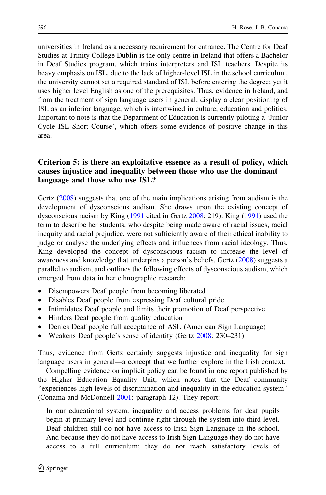universities in Ireland as a necessary requirement for entrance. The Centre for Deaf Studies at Trinity College Dublin is the only centre in Ireland that offers a Bachelor in Deaf Studies program, which trains interpreters and ISL teachers. Despite its heavy emphasis on ISL, due to the lack of higher-level ISL in the school curriculum, the university cannot set a required standard of ISL before entering the degree; yet it uses higher level English as one of the prerequisites. Thus, evidence in Ireland, and from the treatment of sign language users in general, display a clear positioning of ISL as an inferior language, which is intertwined in culture, education and politics. Important to note is that the Department of Education is currently piloting a 'Junior Cycle ISL Short Course', which offers some evidence of positive change in this area.

# Criterion 5: is there an exploitative essence as a result of policy, which causes injustice and inequality between those who use the dominant language and those who use ISL?

Gertz ([2008\)](#page-17-0) suggests that one of the main implications arising from audism is the development of dysconscious audism. She draws upon the existing concept of dysconscious racism by King ([1991](#page-17-0) cited in Gertz [2008:](#page-17-0) 219). King [\(1991](#page-17-0)) used the term to describe her students, who despite being made aware of racial issues, racial inequity and racial prejudice, were not sufficiently aware of their ethical inability to judge or analyse the underlying effects and influences from racial ideology. Thus, King developed the concept of dysconscious racism to increase the level of awareness and knowledge that underpins a person's beliefs. Gertz ([2008\)](#page-17-0) suggests a parallel to audism, and outlines the following effects of dysconscious audism, which emerged from data in her ethnographic research:

- Disempowers Deaf people from becoming liberated
- Disables Deaf people from expressing Deaf cultural pride
- Intimidates Deaf people and limits their promotion of Deaf perspective
- Hinders Deaf people from quality education
- Denies Deaf people full acceptance of ASL (American Sign Language)
- Weakens Deaf people's sense of identity (Gertz [2008](#page-17-0): 230–231)

Thus, evidence from Gertz certainly suggests injustice and inequality for sign language users in general—a concept that we further explore in the Irish context.

Compelling evidence on implicit policy can be found in one report published by the Higher Education Equality Unit, which notes that the Deaf community ''experiences high levels of discrimination and inequality in the education system'' (Conama and McDonnell [2001:](#page-17-0) paragraph 12). They report:

In our educational system, inequality and access problems for deaf pupils begin at primary level and continue right through the system into third level. Deaf children still do not have access to Irish Sign Language in the school. And because they do not have access to Irish Sign Language they do not have access to a full curriculum; they do not reach satisfactory levels of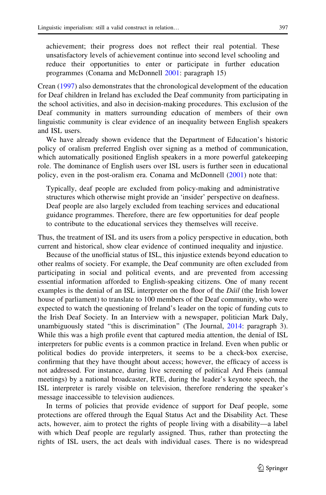achievement; their progress does not reflect their real potential. These unsatisfactory levels of achievement continue into second level schooling and reduce their opportunities to enter or participate in further education programmes (Conama and McDonnell [2001](#page-17-0): paragraph 15)

Crean ([1997\)](#page-17-0) also demonstrates that the chronological development of the education for Deaf children in Ireland has excluded the Deaf community from participating in the school activities, and also in decision-making procedures. This exclusion of the Deaf community in matters surrounding education of members of their own linguistic community is clear evidence of an inequality between English speakers and ISL users.

We have already shown evidence that the Department of Education's historic policy of oralism preferred English over signing as a method of communication, which automatically positioned English speakers in a more powerful gatekeeping role. The dominance of English users over ISL users is further seen in educational policy, even in the post-oralism era. Conama and McDonnell ([2001\)](#page-17-0) note that:

Typically, deaf people are excluded from policy-making and administrative structures which otherwise might provide an 'insider' perspective on deafness. Deaf people are also largely excluded from teaching services and educational guidance programmes. Therefore, there are few opportunities for deaf people to contribute to the educational services they themselves will receive.

Thus, the treatment of ISL and its users from a policy perspective in education, both current and historical, show clear evidence of continued inequality and injustice.

Because of the unofficial status of ISL, this injustice extends beyond education to other realms of society. For example, the Deaf community are often excluded from participating in social and political events, and are prevented from accessing essential information afforded to English-speaking citizens. One of many recent examples is the denial of an ISL interpreter on the floor of the *Dáil* (the Irish lower house of parliament) to translate to 100 members of the Deaf community, who were expected to watch the questioning of Ireland's leader on the topic of funding cuts to the Irish Deaf Society. In an Interview with a newspaper, politician Mark Daly, unambiguously stated "this is discrimination" (The Journal, [2014](#page-19-0): paragraph 3). While this was a high profile event that captured media attention, the denial of ISL interpreters for public events is a common practice in Ireland. Even when public or political bodies do provide interpreters, it seems to be a check-box exercise, confirming that they have thought about access; however, the efficacy of access is not addressed. For instance, during live screening of political Ard Fheis (annual meetings) by a national broadcaster, RTE, during the leader's keynote speech, the ISL interpreter is rarely visible on television, therefore rendering the speaker's message inaccessible to television audiences.

In terms of policies that provide evidence of support for Deaf people, some protections are offered through the Equal Status Act and the Disability Act. These acts, however, aim to protect the rights of people living with a disability—a label with which Deaf people are regularly assigned. Thus, rather than protecting the rights of ISL users, the act deals with individual cases. There is no widespread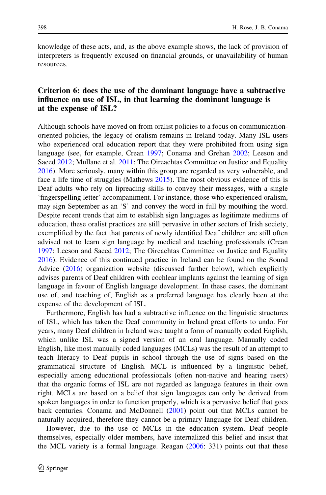knowledge of these acts, and, as the above example shows, the lack of provision of interpreters is frequently excused on financial grounds, or unavailability of human resources.

# Criterion 6: does the use of the dominant language have a subtractive influence on use of ISL, in that learning the dominant language is at the expense of ISL?

Although schools have moved on from oralist policies to a focus on communicationoriented policies, the legacy of oralism remains in Ireland today. Many ISL users who experienced oral education report that they were prohibited from using sign language (see, for example, Crean [1997;](#page-17-0) Conama and Grehan [2002](#page-17-0); Leeson and Saeed [2012](#page-18-0); Mullane et al. [2011](#page-18-0); The Oireachtas Committee on Justice and Equality [2016\)](#page-19-0). More seriously, many within this group are regarded as very vulnerable, and face a life time of struggles (Mathews [2015](#page-18-0)). The most obvious evidence of this is Deaf adults who rely on lipreading skills to convey their messages, with a single 'fingerspelling letter' accompaniment. For instance, those who experienced oralism, may sign September as an 'S' and convey the word in full by mouthing the word. Despite recent trends that aim to establish sign languages as legitimate mediums of education, these oralist practices are still pervasive in other sectors of Irish society, exemplified by the fact that parents of newly identified Deaf children are still often advised not to learn sign language by medical and teaching professionals (Crean [1997;](#page-17-0) Leeson and Saeed [2012](#page-18-0); The Oireachtas Committee on Justice and Equality [2016\)](#page-19-0). Evidence of this continued practice in Ireland can be found on the Sound Advice [\(2016](#page-19-0)) organization website (discussed further below), which explicitly advises parents of Deaf children with cochlear implants against the learning of sign language in favour of English language development. In these cases, the dominant use of, and teaching of, English as a preferred language has clearly been at the expense of the development of ISL.

Furthermore, English has had a subtractive influence on the linguistic structures of ISL, which has taken the Deaf community in Ireland great efforts to undo. For years, many Deaf children in Ireland were taught a form of manually coded English, which unlike ISL was a signed version of an oral language. Manually coded English, like most manually coded languages (MCLs) was the result of an attempt to teach literacy to Deaf pupils in school through the use of signs based on the grammatical structure of English. MCL is influenced by a linguistic belief, especially among educational professionals (often non-native and hearing users) that the organic forms of ISL are not regarded as language features in their own right. MCLs are based on a belief that sign languages can only be derived from spoken languages in order to function properly, which is a pervasive belief that goes back centuries. Conama and McDonnell ([2001\)](#page-17-0) point out that MCLs cannot be naturally acquired, therefore they cannot be a primary language for Deaf children.

However, due to the use of MCLs in the education system, Deaf people themselves, especially older members, have internalized this belief and insist that the MCL variety is a formal language. Reagan [\(2006](#page-18-0): 331) points out that these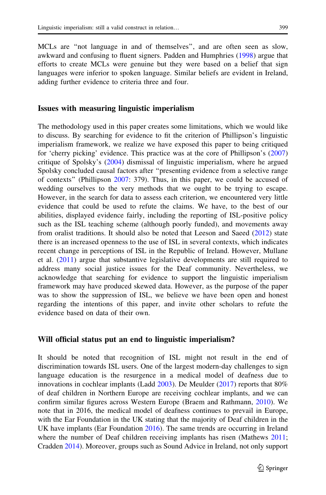MCLs are ''not language in and of themselves'', and are often seen as slow, awkward and confusing to fluent signers. Padden and Humphries ([1998\)](#page-18-0) argue that efforts to create MCLs were genuine but they were based on a belief that sign languages were inferior to spoken language. Similar beliefs are evident in Ireland, adding further evidence to criteria three and four.

#### Issues with measuring linguistic imperialism

The methodology used in this paper creates some limitations, which we would like to discuss. By searching for evidence to fit the criterion of Phillipson's linguistic imperialism framework, we realize we have exposed this paper to being critiqued for 'cherry picking' evidence. This practice was at the core of Phillipson's [\(2007](#page-18-0)) critique of Spolsky's [\(2004](#page-19-0)) dismissal of linguistic imperialism, where he argued Spolsky concluded causal factors after ''presenting evidence from a selective range of contexts'' (Phillipson [2007:](#page-18-0) 379). Thus, in this paper, we could be accused of wedding ourselves to the very methods that we ought to be trying to escape. However, in the search for data to assess each criterion, we encountered very little evidence that could be used to refute the claims. We have, to the best of our abilities, displayed evidence fairly, including the reporting of ISL-positive policy such as the ISL teaching scheme (although poorly funded), and movements away from oralist traditions. It should also be noted that Leeson and Saeed [\(2012](#page-18-0)) state there is an increased openness to the use of ISL in several contexts, which indicates recent change in perceptions of ISL in the Republic of Ireland. However, Mullane et al. ([2011\)](#page-18-0) argue that substantive legislative developments are still required to address many social justice issues for the Deaf community. Nevertheless, we acknowledge that searching for evidence to support the linguistic imperialism framework may have produced skewed data. However, as the purpose of the paper was to show the suppression of ISL, we believe we have been open and honest regarding the intentions of this paper, and invite other scholars to refute the evidence based on data of their own.

#### Will official status put an end to linguistic imperialism?

It should be noted that recognition of ISL might not result in the end of discrimination towards ISL users. One of the largest modern-day challenges to sign language education is the resurgence in a medical model of deafness due to innovations in cochlear implants (Ladd [2003](#page-17-0)). De Meulder [\(2017](#page-17-0)) reports that  $80\%$ of deaf children in Northern Europe are receiving cochlear implants, and we can confirm similar figures across Western Europe (Braem and Rathmann, [2010\)](#page-17-0). We note that in 2016, the medical model of deafness continues to prevail in Europe, with the Ear Foundation in the UK stating that the majority of Deaf children in the UK have implants (Ear Foundation [2016\)](#page-17-0). The same trends are occurring in Ireland where the number of Deaf children receiving implants has risen (Mathews [2011;](#page-18-0) Cradden [2014](#page-17-0)). Moreover, groups such as Sound Advice in Ireland, not only support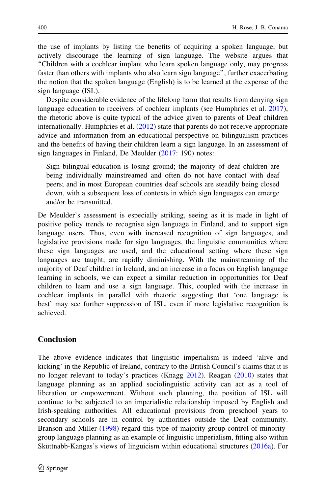the use of implants by listing the benefits of acquiring a spoken language, but actively discourage the learning of sign language. The website argues that ''Children with a cochlear implant who learn spoken language only, may progress faster than others with implants who also learn sign language'', further exacerbating the notion that the spoken language (English) is to be learned at the expense of the sign language (ISL).

Despite considerable evidence of the lifelong harm that results from denying sign language education to receivers of cochlear implants (see Humphries et al. [2017\)](#page-17-0), the rhetoric above is quite typical of the advice given to parents of Deaf children internationally. Humphries et al.  $(2012)$  $(2012)$  state that parents do not receive appropriate advice and information from an educational perspective on bilingualism practices and the benefits of having their children learn a sign language. In an assessment of sign languages in Finland, De Meulder [\(2017](#page-17-0): 190) notes:

Sign bilingual education is losing ground; the majority of deaf children are being individually mainstreamed and often do not have contact with deaf peers; and in most European countries deaf schools are steadily being closed down, with a subsequent loss of contexts in which sign languages can emerge and/or be transmitted.

De Meulder's assessment is especially striking, seeing as it is made in light of positive policy trends to recognise sign language in Finland, and to support sign language users. Thus, even with increased recognition of sign languages, and legislative provisions made for sign languages, the linguistic communities where these sign languages are used, and the educational setting where these sign languages are taught, are rapidly diminishing. With the mainstreaming of the majority of Deaf children in Ireland, and an increase in a focus on English language learning in schools, we can expect a similar reduction in opportunities for Deaf children to learn and use a sign language. This, coupled with the increase in cochlear implants in parallel with rhetoric suggesting that 'one language is best' may see further suppression of ISL, even if more legislative recognition is achieved.

## Conclusion

The above evidence indicates that linguistic imperialism is indeed 'alive and kicking' in the Republic of Ireland, contrary to the British Council's claims that it is no longer relevant to today's practices (Knagg [2012\)](#page-17-0). Reagan [\(2010](#page-18-0)) states that language planning as an applied sociolinguistic activity can act as a tool of liberation or empowerment. Without such planning, the position of ISL will continue to be subjected to an imperialistic relationship imposed by English and Irish-speaking authorities. All educational provisions from preschool years to secondary schools are in control by authorities outside the Deaf community. Branson and Miller [\(1998](#page-17-0)) regard this type of majority-group control of minoritygroup language planning as an example of linguistic imperialism, fitting also within Skuttnabb-Kangas's views of linguicism within educational structures [\(2016a\)](#page-19-0). For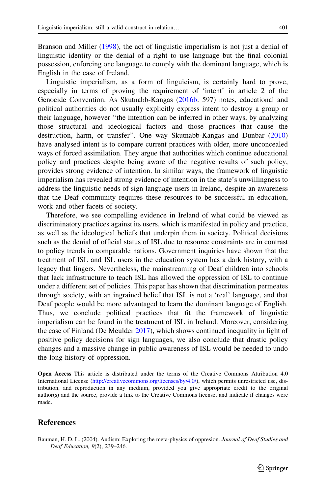<span id="page-16-0"></span>Branson and Miller [\(1998](#page-17-0)), the act of linguistic imperialism is not just a denial of linguistic identity or the denial of a right to use language but the final colonial possession, enforcing one language to comply with the dominant language, which is English in the case of Ireland.

Linguistic imperialism, as a form of linguicism, is certainly hard to prove, especially in terms of proving the requirement of 'intent' in article 2 of the Genocide Convention. As Skutnabb-Kangas ([2016b:](#page-19-0) 597) notes, educational and political authorities do not usually explicitly express intent to destroy a group or their language, however ''the intention can be inferred in other ways, by analyzing those structural and ideological factors and those practices that cause the destruction, harm, or transfer''. One way Skutnabb-Kangas and Dunbar [\(2010\)](#page-19-0) have analysed intent is to compare current practices with older, more unconcealed ways of forced assimilation. They argue that authorities which continue educational policy and practices despite being aware of the negative results of such policy, provides strong evidence of intention. In similar ways, the framework of linguistic imperialism has revealed strong evidence of intention in the state's unwillingness to address the linguistic needs of sign language users in Ireland, despite an awareness that the Deaf community requires these resources to be successful in education, work and other facets of society.

Therefore, we see compelling evidence in Ireland of what could be viewed as discriminatory practices against its users, which is manifested in policy and practice, as well as the ideological beliefs that underpin them in society. Political decisions such as the denial of official status of ISL due to resource constraints are in contrast to policy trends in comparable nations. Government inquiries have shown that the treatment of ISL and ISL users in the education system has a dark history, with a legacy that lingers. Nevertheless, the mainstreaming of Deaf children into schools that lack infrastructure to teach ISL has allowed the oppression of ISL to continue under a different set of policies. This paper has shown that discrimination permeates through society, with an ingrained belief that ISL is not a 'real' language, and that Deaf people would be more advantaged to learn the dominant language of English. Thus, we conclude political practices that fit the framework of linguistic imperialism can be found in the treatment of ISL in Ireland. Moreover, considering the case of Finland (De Meulder [2017\)](#page-17-0), which shows continued inequality in light of positive policy decisions for sign languages, we also conclude that drastic policy changes and a massive change in public awareness of ISL would be needed to undo the long history of oppression.

Open Access This article is distributed under the terms of the Creative Commons Attribution 4.0 International License ([http://creativecommons.org/licenses/by/4.0/\)](http://creativecommons.org/licenses/by/4.0/), which permits unrestricted use, distribution, and reproduction in any medium, provided you give appropriate credit to the original author(s) and the source, provide a link to the Creative Commons license, and indicate if changes were made.

## References

Bauman, H. D. L. (2004). Audism: Exploring the meta-physics of oppresion. Journal of Deaf Studies and Deaf Education, 9(2), 239–246.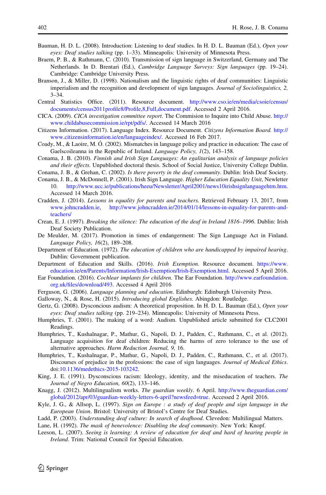- <span id="page-17-0"></span>Bauman, H. D. L. (2008). Introduction: Listening to deaf studies. In H. D. L. Bauman (Ed.), Open your eyes: Deaf studies talking (pp. 1–33). Minneapolis: University of Minnesota Press.
- Braem, P. B., & Rathmann, C. (2010). Transmission of sign language in Switzerland, Germany and The Netherlands. In D. Brentari (Ed.), Cambridge Language Surveys: Sign languages (pp. 19–24). Cambridge: Cambridge University Press.
- Branson, J., & Miller, D. (1998). Nationalism and the linguistic rights of deaf communities: Linguistic imperialism and the recognition and development of sign languages. Journal of Sociolinguistics, 2, 3–34.
- Central Statistics Office. (2011). Resource document. [http://www.cso.ie/en/media/csoie/census/](http://www.cso.ie/en/media/csoie/census/documents/census2011profile8/Profile%2c8%2cFull%2cdocument.pdf) [documents/census2011profile8/Profile,8,Full,document.pdf.](http://www.cso.ie/en/media/csoie/census/documents/census2011profile8/Profile%2c8%2cFull%2cdocument.pdf) Accessed 2 April 2016.
- CICA. (2009). CICA investigation committee report. The Commision to Inquire into Child Abuse. [http://](http://www.childabusecommission.ie/rpt/pdfs/) [www.childabusecommission.ie/rpt/pdfs/.](http://www.childabusecommission.ie/rpt/pdfs/) Accessed 14 March 2016
- Citizens Information. (2017). Language Index. Resource Document. Citizens Information Board. [http://](http://www.citizensinformation.ie/en/languageindex/) [www.citizensinformation.ie/en/languageindex/.](http://www.citizensinformation.ie/en/languageindex/) Accessed 16 Feb 2017.
- Coady, M., & Laoire, M. Ó. (2002). Mismatches in language policy and practice in education: The case of Gaelscoileanna in the Republic of Ireland. Language Policy, 1(2), 143–158.
- Conama, J. B. (2010). Finnish and Irish Sign Languages: An egalitarian analysis of language policies and their effects. Unpublished doctoral thesis. School of Social Justice, University College Dublin.
- Conama, J. B., & Grehan, C. (2002). Is there poverty in the deaf community. Dublin: Irish Deaf Society.
- Conama, J. B., & McDonnell, P. (2001). Irish Sign Language. Higher Education Equality Unit, Newletter 10. <http://www.ucc.ie/publications/heeu/Newsletter/April2001/news10irishsignlanguagehtm.htm>. Accessed 14 March 2016.
- Cradden, J. (2014). Lessons in equality for parents and teachers. Retrieved February 13, 2017, from [www.johncradden.ie](http://www.johncradden.ie), [http://www.johncradden.ie/2014/01/14/lessons-in-equality-for-parents-and](http://www.johncradden.ie/2014/01/14/lessons-in-equality-for-parents-and-teachers/)[teachers/](http://www.johncradden.ie/2014/01/14/lessons-in-equality-for-parents-and-teachers/)
- Crean, E. J. (1997). Breaking the silence: The education of the deaf in Ireland 1816–1996. Dublin: Irish Deaf Society Publication.
- De Meulder, M. (2017). Promotion in times of endangerment: The Sign Language Act in Finland. Language Policy, 16(2), 189–208.
- Department of Education. (1972). The education of children who are handicapped by impaired hearing. Dublin: Government publication.
- Department of Education and Skills. (2016). *Irish Exemption*. Resource document. [https://www.](https://www.education.ie/en/Parents/Information/Irish-Exemption/Irish-Exemption.html) [education.ie/en/Parents/Information/Irish-Exemption/Irish-Exemption.html](https://www.education.ie/en/Parents/Information/Irish-Exemption/Irish-Exemption.html). Accessed 5 April 2016.
- Ear Foundation. (2016). Cochlear implants for children. The Ear Foundation. [http://www.earfoundation.](http://www.earfoundation.org.uk/files/download/493) [org.uk/files/download/493.](http://www.earfoundation.org.uk/files/download/493) Accessed 4 April 2016
- Ferguson, G. (2006). Language planning and education. Edinburgh: Edinburgh University Press.
- Galloway, N., & Rose, H. (2015). Introducing global Englishes. Abingdon: Routledge.
- Gertz, G. (2008). Dysconcious audism: A theoretical proposition. In H. D. L. Bauman (Ed.), Open your eyes: Deaf studies talking (pp. 219–234). Minneapolis: University of Minnesota Press.
- Humphries, T. (2001). The making of a word: Audism. Unpublished article submitted for CLC2001 Readings.
- Humphries, T., Kushalnagar, P., Mathur, G., Napoli, D. J., Padden, C., Rathmann, C., et al. (2012). Language acquisition for deaf children: Reducing the harms of zero tolerance to the use of alternative approaches. Harm Reduction Journal, 9, 16.
- Humphries, T., Kushalnagar, P., Mathur, G., Napoli, D. J., Padden, C., Rathmann, C., et al. (2017). Discourses of prejudice in the professions: the case of sign languages. Journal of Medical Ethics. doi[:10.1136/medethics-2015-103242.](http://dx.doi.org/10.1136/medethics-2015-103242)
- King, J. E. (1991). Dysconscious racism: Ideology, identity, and the miseducation of teachers. The Journal of Negro Education, 60(2), 133–146.
- Knagg, J. (2012). Multilingualism works. The guardian weekly. 6 April. [http://www.theguardian.com/](http://www.theguardian.com/global/2012/apr/03/guardian-weekly-letters-6-april%3fnewsfeed%3dtrue) [global/2012/apr/03/guardian-weekly-letters-6-april?newsfeed=true](http://www.theguardian.com/global/2012/apr/03/guardian-weekly-letters-6-april%3fnewsfeed%3dtrue). Accessed 2 April 2016.
- Kyle, J. G., & Allsop, L. (1997). Sign on Europe : a study of deaf people and sign language in the European Union. Bristol: University of Bristol's Centre for Deaf Studies.
- Ladd, P. (2003). Understanding deaf culture: In search of deafhood. Clevedon: Multilingual Matters.

Lane, H. (1992). The mask of benevolence: Disabling the deaf community. New York: Knopf.

Leeson, L. (2007). Seeing is learning: A review of education for deaf and hard of hearing people in Ireland. Trim: National Council for Special Education.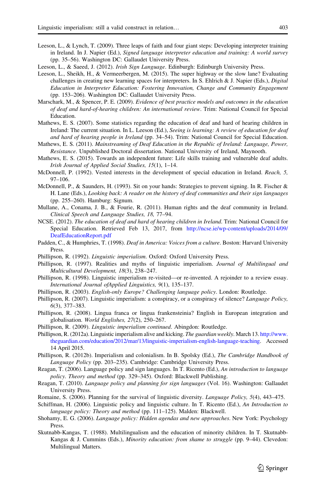- <span id="page-18-0"></span>Leeson, L., & Lynch, T. (2009). Three leaps of faith and four giant steps: Developing interpreter training in Ireland. In J. Napier (Ed.), Signed language interpreter education and training: A world survey (pp. 35–56). Washington DC: Gallaudet University Press.
- Leeson, L., & Saeed, J. (2012). Irish Sign Language. Edinburgh: Edinburgh University Press.
- Leeson, L., Sheikh, H., & Vermeerbergen, M. (2015). The super highway or the slow lane? Evaluating challenges in creating new learning spaces for interpreters. In S. Ehlrich & J. Napier (Eds.), *Digital* Education in Interpreter Education: Fostering Innovation, Change and Community Engagement (pp. 153–206). Washington DC: Gallaudet University Press.
- Marschark, M., & Spencer, P. E. (2009). *Evidence of best practice models and outcomes in the education* of deaf and hard-of-hearing children: An international review. Trim: National Council for Special Education.
- Mathews, E. S. (2007). Some statistics regarding the education of deaf and hard of hearing children in Ireland: The current situation. In L. Leeson (Ed.), Seeing is learning: A review of education for deaf and hard of hearing people in Ireland (pp. 34–54). Trim: National Council for Special Education.
- Mathews, E. S. (2011). Mainstreaming of Deaf Education in the Republic of Ireland: Language, Power, Resistance. Unpublished Doctoral dissertation. National University of Ireland, Maynooth.
- Mathews, E. S. (2015). Towards an independent future: Life skills training and vulnerable deaf adults. Irish Journal of Applied Social Studies, 15(1), 1–14.
- McDonnell, P. (1992). Vested interests in the development of special education in Ireland. Reach, 5, 97–106.
- McDonnell, P., & Saunders, H. (1993). Sit on your hands: Strategies to prevent signing. In R. Fischer & H. Lane (Eds.), Looking back: A reader on the history of deaf communities and their sign languages (pp. 255–260). Hamburg: Signum.
- Mullane, A., Conama, J. B., & Fourie, R. (2011). Human rights and the deaf community in Ireland. Clinical Speech and Language Studies, 18, 77–94.
- NCSE. (2012). The education of deaf and hard of hearing children in Ireland. Trim: National Council for Special Education. Retrieved Feb 13, 2017, from [http://ncse.ie/wp-content/uploads/2014/09/](http://ncse.ie/wp-content/uploads/2014/09/DeafEducationReport.pdf) [DeafEducationReport.pdf](http://ncse.ie/wp-content/uploads/2014/09/DeafEducationReport.pdf)
- Padden, C., & Humphries, T. (1998). Deaf in America: Voices from a culture. Boston: Harvard University Press.
- Phillipson, R. (1992). Linguistic imperialism. Oxford: Oxford University Press.
- Phillipson, R. (1997). Realities and myths of linguistic imperialism. *Journal of Multilingual and* Multicultural Development, 18(3), 238–247.
- Phillipson, R. (1998). Linguistic imperialism re-visited—or re-invented. A rejoinder to a review essay. International Journal ofApplied Linguistics, 9(1), 135–137.
- Phillipson, R. (2003). English-only Europe? Challenging language policy. London: Routledge.
- Phillipson, R. (2007). Linguistic imperialism: a conspiracy, or a conspiracy of silence? Language Policy, 6(3), 377–383.
- Phillipson, R. (2008). Lingua franca or lingua frankensteinia? English in European integration and globalisation. World Englishes, 27(2), 250–267.
- Phillipson, R. (2009). Linguistic imperialism continued. Abingdon: Routledge.
- Phillipson, R. (2012a). Linguistic imperialism alive and kicking. The guardian weekly. March 13. [http://www.](http://www.theguardian.com/education/2012/mar/13/linguistic-imperialism-english-language-teaching) [theguardian.com/education/2012/mar/13/linguistic-imperialism-english-language-teaching](http://www.theguardian.com/education/2012/mar/13/linguistic-imperialism-english-language-teaching). Accessed 14 April 2015.
- Phillipson, R. (2012b). Imperialism and colonialism. In B. Spolsky (Ed.), The Cambridge Handbook of Language Policy (pp. 203–235). Cambridge: Cambridge University Press.
- Reagan, T. (2006). Language policy and sign languages. In T. Ricento (Ed.), An introduction to language policy. Theory and method (pp. 329–345). Oxford: Blackwell Publishing.
- Reagan, T. (2010). Language policy and planning for sign languages (Vol. 16). Washington: Gallaudet University Press.
- Romaine, S. (2006). Planning for the survival of linguistic diversity. Language Policy, 5(4), 443–475.
- Schiffman, H. (2006). Linguistic policy and linguistic culture. In T. Ricento (Ed.), An Introduction to language policy: Theory and method (pp. 111-125). Malden: Blackwell.
- Shohamy, E. G. (2006). Language policy: Hidden agendas and new approaches. New York: Psychology Press.
- Skutnabb-Kangas, T. (1988). Multilingualism and the education of minority children. In T. Skutnabb-Kangas & J. Cummins (Eds.), Minority education: from shame to struggle (pp. 9–44). Clevedon: Multilingual Matters.